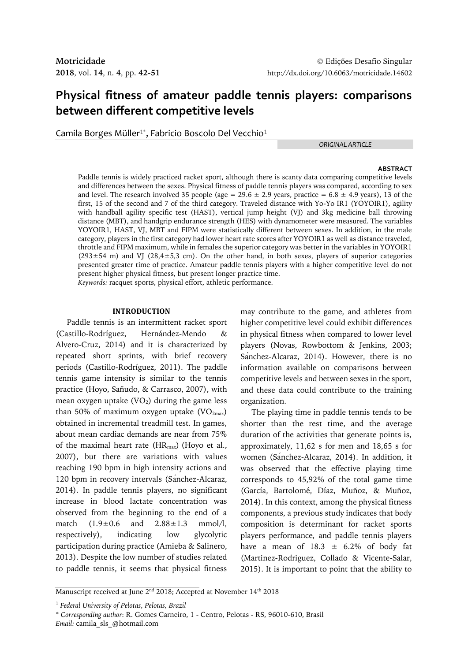# **Physical fitness of amateur paddle tennis players: comparisons between different competitive levels**

Camila Borges Müller $^{1*}$ , Fabricio Boscolo Del Vecchio $^{1}$ 

*ORIGINAL ARTICLE*

## **ABSTRACT**

Paddle tennis is widely practiced racket sport, although there is scanty data comparing competitive levels and differences between the sexes. Physical fitness of paddle tennis players was compared, according to sex and level. The research involved 35 people (age =  $29.6 \pm 2.9$  years, practice =  $6.8 \pm 4.9$  years), 13 of the first, 15 of the second and 7 of the third category. Traveled distance with Yo-Yo IR1 (YOYOIR1), agility with handball agility specific test (HAST), vertical jump height (VJ) and 3kg medicine ball throwing distance (MBT), and handgrip endurance strength (HES) with dynamometer were measured. The variables YOYOIR1, HAST, VJ, MBT and FIPM were statistically different between sexes. In addition, in the male category, players in the first category had lower heart rate scores after YOYOIR1 as well as distance traveled, throttle and FIPM maximum, while in females the superior category was better in the variables in YOYOIR1  $(293±54 m)$  and VJ  $(28,4±5,3 cm)$ . On the other hand, in both sexes, players of superior categories presented greater time of practice. Amateur paddle tennis players with a higher competitive level do not present higher physical fitness, but present longer practice time. *Keywords:* racquet sports, physical effort, athletic performance.

## **INTRODUCTION**

Paddle tennis is an intermittent racket sport (Castillo-Rodríguez, Hernández-Mendo & Alvero-Cruz, 2014) and it is characterized by repeated short sprints, with brief recovery periods (Castillo-Rodríguez, 2011). The paddle tennis game intensity is similar to the tennis practice (Hoyo, Sañudo, & Carrasco, 2007), with mean oxygen uptake  $(VO<sub>2</sub>)$  during the game less than 50% of maximum oxygen uptake  $(VO<sub>2max</sub>)$ obtained in incremental treadmill test. In games, about mean cardiac demands are near from 75% of the maximal heart rate  $(HR_{max})$  (Hoyo et al., 2007), but there are variations with values reaching 190 bpm in high intensity actions and 120 bpm in recovery intervals (Sanchez-Alcaraz, 2014). In paddle tennis players, no significant increase in blood lactate concentration was observed from the beginning to the end of a match  $(1.9 \pm 0.6$  and  $2.88 \pm 1.3$  mmol/l, respectively), indicating low glycolytic participation during practice (Amieba & Salinero, 2013). Despite the low number of studies related to paddle tennis, it seems that physical fitness

may contribute to the game, and athletes from higher competitive level could exhibit differences in physical fitness when compared to lower level players (Novas, Rowbottom & Jenkins, 2003; Sanchez-Alcaraz, 2014). However, there is no information available on comparisons between competitive levels and between sexes in the sport, and these data could contribute to the training organization.

The playing time in paddle tennis tends to be shorter than the rest time, and the average duration of the activities that generate points is, approximately, 11,62 s for men and 18,65 s for women (Sanchez-Alcaraz, 2014). In addition, it was observed that the effective playing time corresponds to 45,92% of the total game time (García, Bartolomé, Díaz, Muñoz, & Muñoz, 2014). In this context, among the physical fitness components, a previous study indicates that body composition is determinant for racket sports players performance, and paddle tennis players have a mean of  $18.3 \pm 6.2\%$  of body fat (Martinez-Rodriguez, Collado & Vicente-Salar, 2015). It is important to point that the ability to

Manuscript received at June 2 $^{\rm{nd}}$  2018; Accepted at November 14 $^{\rm{th}}$  2018

<sup>1</sup> *Federal University of Pelotas, Pelotas, Brazil*

<sup>\*</sup> *Corresponding author*: R. Gomes Carneiro, 1 - Centro, Pelotas - RS, 96010-610, Brasil *Email:* camila\_sls\_@hotmail.com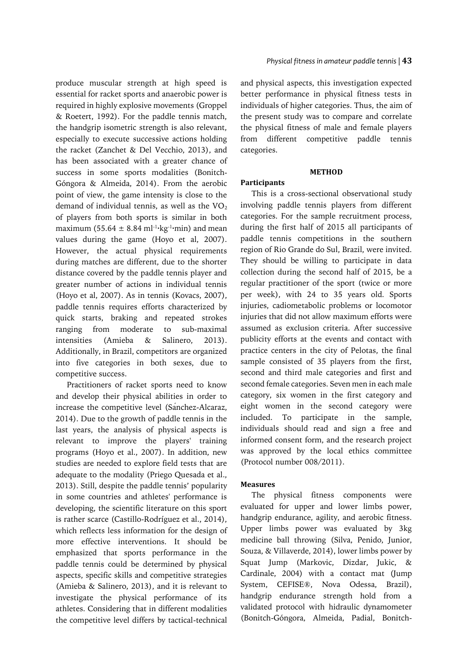produce muscular strength at high speed is essential for racket sports and anaerobic power is required in highly explosive movements (Groppel & Roetert, 1992). For the paddle tennis match, the handgrip isometric strength is also relevant, especially to execute successive actions holding the racket (Zanchet & Del Vecchio, 2013), and has been associated with a greater chance of success in some sports modalities (Bonitch‐ Góngora & Almeida, 2014). From the aerobic point of view, the game intensity is close to the demand of individual tennis, as well as the  $VO<sub>2</sub>$ of players from both sports is similar in both maximum (55.64  $\pm$  8.84 ml<sup>-1</sup>·kg<sup>-1</sup>·min) and mean values during the game (Hoyo et al, 2007). However, the actual physical requirements during matches are different, due to the shorter distance covered by the paddle tennis player and greater number of actions in individual tennis (Hoyo et al, 2007). As in tennis (Kovacs, 2007), paddle tennis requires efforts characterized by quick starts, braking and repeated strokes ranging from moderate to sub-maximal intensities (Amieba & Salinero, 2013). Additionally, in Brazil, competitors are organized into five categories in both sexes, due to competitive success.

Practitioners of racket sports need to know and develop their physical abilities in order to increase the competitive level (Sánchez-Alcaraz, 2014). Due to the growth of paddle tennis in the last years, the analysis of physical aspects is relevant to improve the players' training programs (Hoyo et al., 2007). In addition, new studies are needed to explore field tests that are adequate to the modality (Priego Quesada et al., 2013). Still, despite the paddle tennis' popularity in some countries and athletes' performance is developing, the scientific literature on this sport is rather scarce (Castillo-Rodríguez et al., 2014), which reflects less information for the design of more effective interventions. It should be emphasized that sports performance in the paddle tennis could be determined by physical aspects, specific skills and competitive strategies (Amieba & Salinero, 2013), and it is relevant to investigate the physical performance of its athletes. Considering that in different modalities the competitive level differs by tactical-technical and physical aspects, this investigation expected better performance in physical fitness tests in individuals of higher categories. Thus, the aim of the present study was to compare and correlate the physical fitness of male and female players from different competitive paddle tennis categories.

## **METHOD**

## **Participants**

This is a cross-sectional observational study involving paddle tennis players from different categories. For the sample recruitment process, during the first half of 2015 all participants of paddle tennis competitions in the southern region of Rio Grande do Sul, Brazil, were invited. They should be willing to participate in data collection during the second half of 2015, be a regular practitioner of the sport (twice or more per week), with 24 to 35 years old. Sports injuries, cadiometabolic problems or locomotor injuries that did not allow maximum efforts were assumed as exclusion criteria. After successive publicity efforts at the events and contact with practice centers in the city of Pelotas, the final sample consisted of 35 players from the first, second and third male categories and first and second female categories. Seven men in each male category, six women in the first category and eight women in the second category were included. To participate in the sample, individuals should read and sign a free and informed consent form, and the research project was approved by the local ethics committee (Protocol number 008/2011).

# **Measures**

The physical fitness components were evaluated for upper and lower limbs power, handgrip endurance, agility, and aerobic fitness. Upper limbs power was evaluated by 3kg medicine ball throwing (Silva, Penido, Junior, Souza, & Villaverde, 2014), lower limbs power by Squat Jump (Markovic, Dizdar, Jukic, & Cardinale, 2004) with a contact mat (Jump System, CEFISE®, Nova Odessa, Brazil), handgrip endurance strength hold from a validated protocol with hidraulic dynamometer (Bonitch-Góngora, Almeida, Padial, Bonitch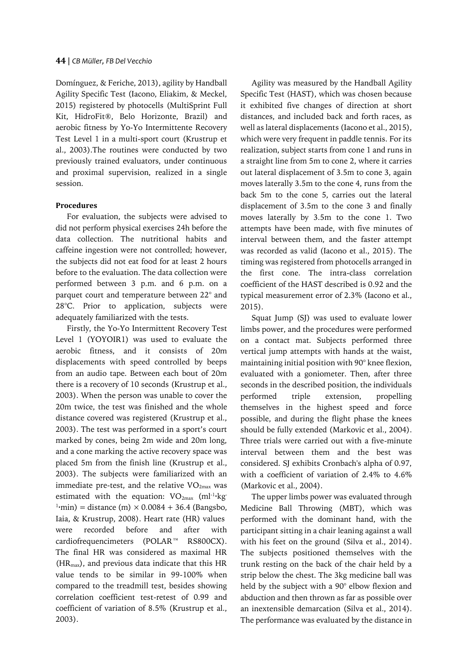Domínguez, & Feriche, 2013), agility by Handball Agility Specific Test (Iacono, Eliakim, & Meckel, 2015) registered by photocells (MultiSprint Full Kit, HidroFit®, Belo Horizonte, Brazil) and aerobic fitness by Yo-Yo Intermittente Recovery Test Level 1 in a multi-sport court (Krustrup et al., 2003).The routines were conducted by two previously trained evaluators, under continuous and proximal supervision, realized in a single session.

# **Procedures**

For evaluation, the subjects were advised to did not perform physical exercises 24h before the data collection. The nutritional habits and caffeine ingestion were not controlled; however, the subjects did not eat food for at least 2 hours before to the evaluation. The data collection were performed between 3 p.m. and 6 p.m. on a parquet court and temperature between 22° and 28°C. Prior to application, subjects were adequately familiarized with the tests.

Firstly, the Yo-Yo Intermittent Recovery Test Level 1 (YOYOIR1) was used to evaluate the aerobic fitness, and it consists of 20m displacements with speed controlled by beeps from an audio tape. Between each bout of 20m there is a recovery of 10 seconds (Krustrup et al., 2003). When the person was unable to cover the 20m twice, the test was finished and the whole distance covered was registered (Krustrup et al., 2003). The test was performed in a sport's court marked by cones, being 2m wide and 20m long, and a cone marking the active recovery space was placed 5m from the finish line (Krustrup et al., 2003). The subjects were familiarized with an immediate pre-test, and the relative  $VO_{2max}$  was estimated with the equation:  $VO_{2\text{max}}$  (ml<sup>-1</sup>·kg<sup>-</sup>  $1$ ·min) = distance (m)  $\times$  0.0084 + 36.4 (Bangsbo, Iaia, & Krustrup, 2008). Heart rate (HR) values were recorded before and after with cardiofrequencimeters (POLAR™ RS800CX). The final HR was considered as maximal HR  $(HR<sub>max</sub>)$ , and previous data indicate that this HR value tends to be similar in 99-100% when compared to the treadmill test, besides showing correlation coefficient test-retest of 0.99 and coefficient of variation of 8.5% (Krustrup et al., 2003).

Agility was measured by the Handball Agility Specific Test (HAST), which was chosen because it exhibited five changes of direction at short distances, and included back and forth races, as well as lateral displacements (Iacono et al., 2015), which were very frequent in paddle tennis. For its realization, subject starts from cone 1 and runs in a straight line from 5m to cone 2, where it carries out lateral displacement of 3.5m to cone 3, again moves laterally 3.5m to the cone 4, runs from the back 5m to the cone 5, carries out the lateral displacement of 3.5m to the cone 3 and finally moves laterally by 3.5m to the cone 1. Two attempts have been made, with five minutes of interval between them, and the faster attempt was recorded as valid (Iacono et al., 2015). The timing was registered from photocells arranged in the first cone. The intra-class correlation coefficient of the HAST described is 0.92 and the typical measurement error of 2.3% (Iacono et al., 2015).

Squat Jump (SJ) was used to evaluate lower limbs power, and the procedures were performed on a contact mat. Subjects performed three vertical jump attempts with hands at the waist, maintaining initial position with 90° knee flexion, evaluated with a goniometer. Then, after three seconds in the described position, the individuals performed triple extension, propelling themselves in the highest speed and force possible, and during the flight phase the knees should be fully extended (Markovic et al., 2004). Three trials were carried out with a five-minute interval between them and the best was considered. SJ exhibits Cronbach's alpha of 0.97, with a coefficient of variation of 2.4% to 4.6% (Markovic et al., 2004).

The upper limbs power was evaluated through Medicine Ball Throwing (MBT), which was performed with the dominant hand, with the participant sitting in a chair leaning against a wall with his feet on the ground (Silva et al., 2014). The subjects positioned themselves with the trunk resting on the back of the chair held by a strip below the chest. The 3kg medicine ball was held by the subject with a 90° elbow flexion and abduction and then thrown as far as possible over an inextensible demarcation (Silva et al., 2014). The performance was evaluated by the distance in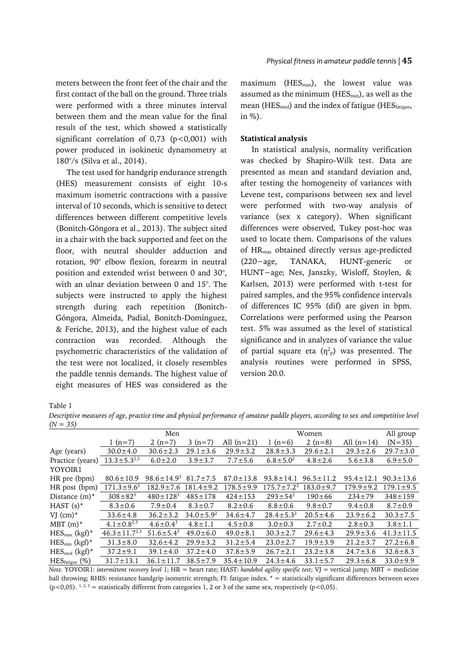meters between the front feet of the chair and the first contact of the ball on the ground. Three trials were performed with a three minutes interval between them and the mean value for the final result of the test, which showed a statistically significant correlation of 0,73 (p<0,001) with power produced in isokinetic dynamometry at 180°/s (Silva et al., 2014).

The test used for handgrip endurance strength (HES) measurement consists of eight 10-s maximum isometric contractions with a passive interval of 10 seconds, which is sensitive to detect differences between different competitive levels (Bonitch-Góngora et al., 2013). The subject sited in a chair with the back supported and feet on the floor, with neutral shoulder adduction and rotation, 90° elbow flexion, forearm in neutral position and extended wrist between 0 and 30°, with an ulnar deviation between 0 and 15°. The subjects were instructed to apply the highest strength during each repetition (Bonitch-Góngora, Almeida, Padial, Bonitch-Domínguez, & Feriche, 2013), and the highest value of each contraction was recorded. Although the psychometric characteristics of the validation of the test were not localized, it closely resembles the paddle tennis demands. The highest value of eight measures of HES was considered as the

maximum ( $HES_{\text{max}}$ ), the lowest value was assumed as the minimum ( $HES_{min}$ ), as well as the mean ( $HES_{med}$ ) and the index of fatigue ( $HES_{fatigue}$ , in %).

## **Statistical analysis**

In statistical analysis, normality verification was checked by Shapiro-Wilk test. Data are presented as mean and standard deviation and, after testing the homogeneity of variances with Levene test, comparisons between sex and level were performed with two-way analysis of variance (sex x category). When significant differences were observed, Tukey post-hoc was used to locate them. Comparisons of the values of HRmax obtained directly versus age-predicted (220−age, TANAKA, HUNT-generic or HUNT−age; Nes, Janszky, Wisloff, Stoylen, & Karlsen, 2013) were performed with t-test for paired samples, and the 95% confidence intervals of differences IC 95% (dif) are given in bpm. Correlations were performed using the Pearson test. 5% was assumed as the level of statistical significance and in analyzes of variance the value of partial square eta  $(\eta^2$ <sup>p</sup>) was presented. The analysis routines were performed in SPSS, version 20.0.

Table 1

*Descriptive measures of age, practice time and physical performance of amateur paddle players, according to sex and competitive level (N = 35)*

| $\lambda$                        |                              |                            |                  |                 |                   |                 |                 |                 |
|----------------------------------|------------------------------|----------------------------|------------------|-----------------|-------------------|-----------------|-----------------|-----------------|
|                                  | Men                          |                            |                  |                 | Women             |                 |                 | All group       |
|                                  | 1 $(n=7)$                    | 2 $(n=7)$                  | $3(n=7)$         | All $(n=21)$    | 1 $(n=6)$         | 2 $(n=8)$       | All $(n=14)$    | $(N=35)$        |
| Age (years)                      | $30.0 \pm 4.0$               | $30.6 \pm 2.3$             | $29.1 \pm 3.6$   | $29.9 \pm 3.2$  | $28.8 \pm 3.3$    | $29.6 \pm 2.1$  | $29.3 \pm 2.6$  | $29.7 \pm 3.0$  |
| Practice (years)                 | $13.3 \pm 5.3^{2.3}$         | $6.0 \pm 2.0$              | $3.9 \pm 3.7$    | $7.7 \pm 5.6$   | $6.8 \pm 5.0^2$   | $4.8 \pm 2.6$   | $5.6 \pm 3.8$   | $6.9 \pm 5.0$   |
| YOYOIR1                          |                              |                            |                  |                 |                   |                 |                 |                 |
| HR pre (bpm)                     | $80.6 \pm 10.9$              | $98.6 \pm 14.9^3$          | $81.7 \pm 7.5$   | $87.0 \pm 13.8$ | $93.8 \pm 14.1$   | $96.5 \pm 11.2$ | $95.4 \pm 12.1$ | $90.3 \pm 13.6$ |
| HR post (bpm)                    | $171.3 \pm 9.6^2$            | $182.9 \pm 7.6$            | $181.4 \pm 9.2$  | $178.5 \pm 9.9$ | $175.7 \pm 7.2^2$ | $183.0 \pm 9.7$ | $179.9 \pm 9.2$ | $179.1 \pm 9.5$ |
| Distance $(m)^*$                 | $308 \pm 82^{3}$             | $480 \pm 128$ <sup>3</sup> | $485 \pm 178$    | $424 \pm 153$   | $293 \pm 54^2$    | $190 \pm 66$    | $234 \pm 79$    | $348 \pm 159$   |
| HAST $(s)^*$                     | $8.3 \pm 0.6$                | $7.9 \pm 0.4$              | $8.3 \pm 0.7$    | $8.2 \pm 0.6$   | $8.8 \pm 0.6$     | $9.8 \pm 0.7$   | $9.4 \pm 0.8$   | $8.7 \pm 0.9$   |
| VJ $(cm)^*$                      | $33.6 \pm 4.8$               | $36.2 \pm 3.2$             | $34.0 \pm 5.9^2$ | $34.6 \pm 4.7$  | $28.4 \pm 5.3^2$  | $20.5 \pm 4.6$  | $23.9 \pm 6.2$  | $30.3 \pm 7.5$  |
| $MBT(m)^*$                       | 4.1 $\pm$ 0.8 <sup>2.3</sup> | $4.6 \pm 0.4^3$            | $4.8 \pm 1.1$    | $4.5 \pm 0.8$   | $3.0 \pm 0.3$     | $2.7 \pm 0.2$   | $2.8 \pm 0.3$   | $3.8 \pm 1.1$   |
| $HES_{max}$ (kgf)*               | $46.3 \pm 11.7^{2.3}$        | $51.6 \pm 5.4^3$           | $49.0 \pm 6.0$   | $49.0 \pm 8.1$  | $30.3 \pm 2.7$    | $29.6 \pm 4.3$  | $29.9 \pm 3.6$  | $41.3 \pm 11.5$ |
| $\text{HES}_{\text{min}}$ (kgf)* | $31.3 \pm 8.0$               | $32.6 \pm 4.2$             | $29.9 \pm 3.2$   | $31.2 \pm 5.4$  | $23.0 \pm 2.7$    | $19.9 \pm 3.9$  | $21.2 \pm 3.7$  | $27.2 \pm 6.8$  |
| $HES_{med}$ (kgf)*               | $37.2 \pm 9.1$               | $39.1 \pm 4.0$             | $37.2 \pm 4.0$   | $37.8 \pm 5.9$  | $26.7 \pm 2.1$    | $23.2 \pm 3.8$  | $24.7 \pm 3.6$  | $32.6 \pm 8.3$  |
| $HESfatigue$ (%)                 | $31.7 \pm 13.1$              | $36.1 \pm 11.7$            | $38.5 \pm 7.9$   | $35.4 \pm 10.9$ | $24.3 \pm 4.6$    | $33.1 \pm 5.7$  | $29.3 \pm 6.8$  | $33.0 \pm 9.9$  |
|                                  |                              |                            |                  |                 |                   |                 |                 |                 |

*Note.* YOYOIR1: *intermittent recovery level* 1; HR = heart rate; HAST: *handebol agility specific test*; VJ = vertical jump; MBT = medicine ball throwing; RHIS: resistance handgrip isometric strength; FI: fatigue index. \* = statistically significant differences between sexes (p<0,05).  $1, 2, 3$  = statistically different from categories 1, 2 or 3 of the same sex, respectively (p<0,05).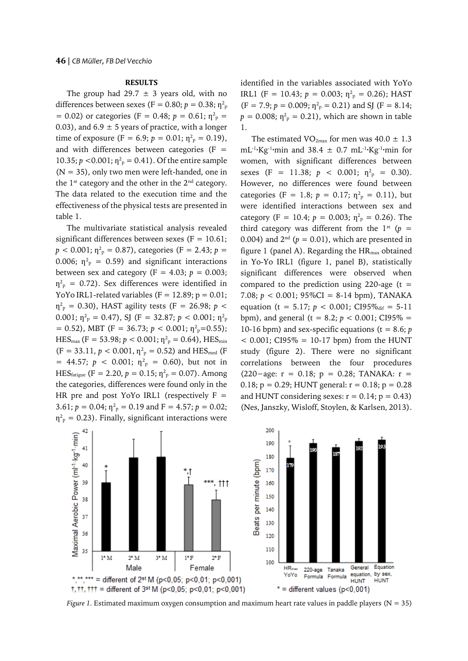#### **RESULTS**

The group had 29.7  $\pm$  3 years old, with no differences between sexes (F = 0.80;  $p =$  0.38;  $\eta^2{}_{\text{p}}$  $= 0.02$ ) or categories (F = 0.48;  $p = 0.61$ ;  $\eta_{\text{p}}^2 =$ 0.03), and  $6.9 \pm 5$  years of practice, with a longer time of exposure (F = 6.9;  $p = 0.01$ ;  $\eta^2$ <sub>P</sub> = 0.19), and with differences between categories (F  $=$ 10.35;  $p < 0.001$ ;  $\eta^2$ <sub>p</sub> = 0.41). Of the entire sample  $(N = 35)$ , only two men were left-handed, one in the  $1^{st}$  category and the other in the  $2^{nd}$  category. The data related to the execution time and the effectiveness of the physical tests are presented in table 1.

The multivariate statistical analysis revealed significant differences between sexes ( $F = 10.61$ ;  $p < 0.001$ ;  $\eta^2$ <sub>p</sub> = 0.87), categories (F = 2.43; *p* = 0.006;  $\eta_{\text{p}}^2$  = 0.59) and significant interactions between sex and category ( $F = 4.03$ ;  $p = 0.003$ ;  $\eta_{\rm p}^2$  = 0.72). Sex differences were identified in YoYo IRL1-related variables ( $F = 12.89$ ;  $p = 0.01$ ;  $\eta_{\rm p}^2$  = 0.30), HAST agility tests (F = 26.98; *p* < 0.001;  $\eta_{\text{\tiny P}}^2 = 0.47$ ), SJ (F = 32.87;  $p < 0.001$ ;  $\eta_{\text{\tiny P}}^2$  $= 0.52$ ), MBT (F = 36.73;  $p < 0.001$ ;  $\eta^2$ <sub>p</sub>=0.55);  $\text{HES}_{\text{max}}$  (F = 53.98;  $p < 0.001$ ;  $\eta^2$ <sub>p</sub> = 0.64),  $\text{HES}_{\text{min}}$  $(F = 33.11, p < 0.001, \eta^2$ <sub>p</sub> = 0.52) and HES<sub>med</sub> (F)  $= 44.57$ ;  $p < 0.001$ ;  $\eta_{p}^{2} = 0.60$ ), but not in HES<sub>fatigue</sub> (F = 2.20,  $p = 0.15$ ;  $\eta_{\text{p}}^2 = 0.07$ ). Among the categories, differences were found only in the HR pre and post YoYo IRL1 (respectively  $F =$ 3.61;  $p = 0.04$ ;  $\eta_{\text{p}}^2 = 0.19$  and  $F = 4.57$ ;  $p = 0.02$ ;  $\eta_{\rm p}^2$  = 0.23). Finally, significant interactions were

identified in the variables associated with YoYo IRL1 (F = 10.43;  $p = 0.003$ ;  $\eta_{p}^{2} = 0.26$ ); HAST  $(F = 7.9; p = 0.009; \eta_{p}^{2} = 0.21)$  and SJ  $(F = 8.14;$  $p = 0.008$ ;  $\eta_{\text{p}}^2 = 0.21$ ), which are shown in table 1.

The estimated  $VO_{2max}$  for men was 40.0  $\pm$  1.3  $mL^{-1}$ ·Kg<sup>-1</sup>·min and 38.4  $\pm$  0.7 mL<sup>-1</sup>·Kg<sup>-1</sup>·min for women, with significant differences between sexes (F = 11.38;  $p < 0.001$ ;  $\eta_{\text{p}}^2 = 0.30$ ). However, no differences were found between categories (F = 1.8;  $p = 0.17$ ;  $\eta_{\text{p}}^2 = 0.11$ ), but were identified interactions between sex and category (F = 10.4;  $p = 0.003$ ;  $\eta^2$ <sub>p</sub> = 0.26). The third category was different from the  $1<sup>st</sup>$  ( $p =$ 0.004) and  $2<sup>nd</sup>$  ( $p = 0.01$ ), which are presented in figure 1 (panel A). Regarding the  $HR_{max}$  obtained in Yo-Yo IRL1 (figure 1, panel B), statistically significant differences were observed when compared to the prediction using 220-age ( $t =$ 7.08;  $p < 0.001$ ; 95%CI = 8-14 bpm), TANAKA equation (t = 5.17;  $p < 0.001$ ; CI95%<sub>dif</sub> = 5-11 bpm), and general ( $t = 8.2$ ;  $p < 0.001$ ; CI95% = 10-16 bpm) and sex-specific equations ( $t = 8.6$ ;  $p$  $<$  0.001; CI95% = 10-17 bpm) from the HUNT study (figure 2). There were no significant correlations between the four procedures (220−age: r = 0.18; p = 0.28; TANAKA: r = 0.18;  $p = 0.29$ ; HUNT general:  $r = 0.18$ ;  $p = 0.28$ and HUNT considering sexes:  $r = 0.14$ ;  $p = 0.43$ ) (Nes, Janszky, Wisloff, Stoylen, & Karlsen, 2013).



*Figure 1.* Estimated maximum oxygen consumption and maximum heart rate values in paddle players (N = 35)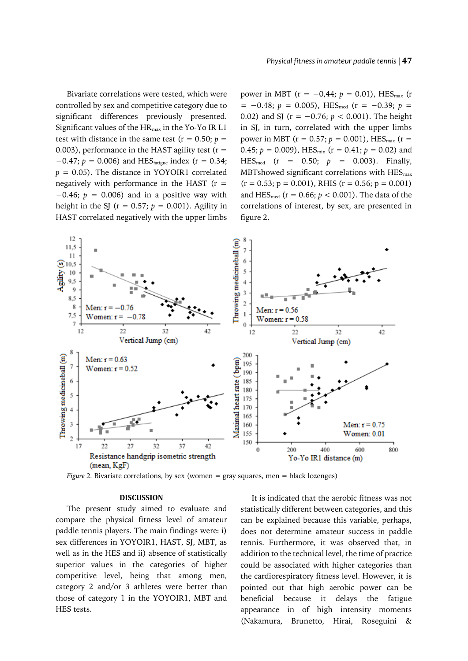Bivariate correlations were tested, which were controlled by sex and competitive category due to significant differences previously presented. Significant values of the  $HR_{max}$  in the Yo-Yo IR L1 test with distance in the same test ( $r = 0.50$ ;  $p =$ 0.003), performance in the HAST agility test ( $r =$  $-0.47$ ;  $p = 0.006$ ) and HES<sub>fatigue</sub> index (r = 0.34;  $p = 0.05$ ). The distance in YOYOIR1 correlated negatively with performance in the HAST  $(r =$ −0.46; *p* = 0.006) and in a positive way with height in the SJ ( $r = 0.57$ ;  $p = 0.001$ ). Agility in HAST correlated negatively with the upper limbs

power in MBT ( $r = -0.44$ ;  $p = 0.01$ ), HES<sub>max</sub> (r = −0.48; *p* = 0.005), HESmed (r = −0.39; *p* = 0.02) and SJ (r = −0.76; *p* < 0.001). The height in SJ, in turn, correlated with the upper limbs power in MBT ( $r = 0.57$ ;  $p = 0.001$ ), HES<sub>max</sub> ( $r =$ 0.45;  $p = 0.009$ ), HES<sub>min</sub> ( $r = 0.41$ ;  $p = 0.02$ ) and  $\text{HES}_{\text{med}}$  (r = 0.50;  $p = 0.003$ ). Finally, MBTshowed significant correlations with  $HES<sub>max</sub>$  $(r = 0.53; p = 0.001)$ , RHIS  $(r = 0.56; p = 0.001)$ and HES<sub>med</sub> ( $r = 0.66$ ;  $p < 0.001$ ). The data of the correlations of interest, by sex, are presented in figure 2.



*Figure 2. Bivariate correlations, by sex (women = gray squares, men = black lozenges)* 

## **DISCUSSION**

The present study aimed to evaluate and compare the physical fitness level of amateur paddle tennis players. The main findings were: i) sex differences in YOYOIR1, HAST, SJ, MBT, as well as in the HES and ii) absence of statistically superior values in the categories of higher competitive level, being that among men, category 2 and/or 3 athletes were better than those of category 1 in the YOYOIR1, MBT and HES tests.

It is indicated that the aerobic fitness was not statistically different between categories, and this can be explained because this variable, perhaps, does not determine amateur success in paddle tennis. Furthermore, it was observed that, in addition to the technical level, the time of practice could be associated with higher categories than the cardiorespiratory fitness level. However, it is pointed out that high aerobic power can be beneficial because it delays the fatigue appearance in of high intensity moments (Nakamura, Brunetto, Hirai, Roseguini &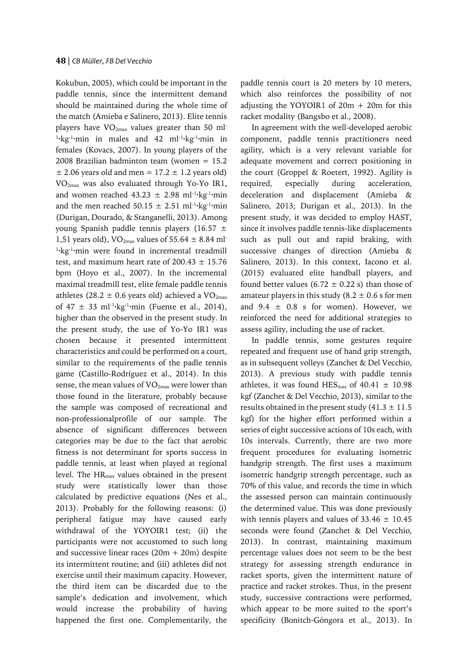Kokubun, 2005), which could be important in the paddle tennis, since the intermittent demand should be maintained during the whole time of the match (Amieba e Salinero, 2013). Elite tennis players have  $VO_{2max}$  values greater than 50 ml<sup>-</sup> <sup>1</sup>·kg<sup>-1</sup>·min in males and 42 ml<sup>-1</sup>·kg<sup>-1</sup>·min in females (Kovacs, 2007). In young players of the 2008 Brazilian badminton team (women = 15.2  $\pm$  2.06 years old and men = 17.2  $\pm$  1.2 years old) VO2max was also evaluated through Yo-Yo IR1, and women reached  $43.23 \pm 2.98$  ml<sup>-1</sup>·kg<sup>-1</sup>·min and the men reached 50.15  $\pm$  2.51 ml<sup>-1</sup>·kg<sup>-1</sup>·min (Durigan, Dourado, & Stanganelli, 2013). Among young Spanish paddle tennis players (16.57  $\pm$ 1,51 years old),  $VO<sub>2max</sub>$  values of 55.64  $\pm$  8.84 ml<sup>-</sup> <sup>1</sup>·kg<sup>-1</sup>·min were found in incremental treadmill test, and maximum heart rate of  $200.43 \pm 15.76$ bpm (Hoyo et al., 2007). In the incremental maximal treadmill test, elite female paddle tennis athletes (28.2  $\pm$  0.6 years old) achieved a VO<sub>2max</sub> of  $47 \pm 33$  ml<sup>-1</sup>·kg<sup>-1</sup>·min (Fuente et al., 2014), higher than the observed in the present study. In the present study, the use of Yo-Yo IR1 was chosen because it presented intermittent characteristics and could be performed on a court, similar to the requirements of the padle tennis game (Castillo-Rodríguez et al., 2014). In this sense, the mean values of  $VO<sub>2max</sub>$  were lower than those found in the literature, probably because the sample was composed of recreational and non-professionalprofile of our sample. The absence of significant differences between categories may be due to the fact that aerobic fitness is not determinant for sports success in paddle tennis, at least when played at regional level. The HRmax values obtained in the present study were statistically lower than those calculated by predictive equations (Nes et al., 2013). Probably for the following reasons: (i) peripheral fatigue may have caused early withdrawal of the YOYOIR1 test; (ii) the participants were not accustomed to such long and successive linear races  $(20m + 20m)$  despite its intermittent routine; and (iii) athletes did not exercise until their maximum capacity. However, the third item can be discarded due to the sample's dedication and involvement, which would increase the probability of having happened the first one. Complementarily, the

paddle tennis court is 20 meters by 10 meters, which also reinforces the possibility of not adjusting the YOYOIR1 of  $20m + 20m$  for this racket modality (Bangsbo et al., 2008).

In agreement with the well-developed aerobic component, paddle tennis practitioners need agility, which is a very relevant variable for adequate movement and correct positioning in the court (Groppel & Roetert, 1992). Agility is required, especially during acceleration, deceleration and displacement (Amieba & Salinero, 2013; Durigan et al., 2013). In the present study, it was decided to employ HAST, since it involves paddle tennis-like displacements such as pull out and rapid braking, with successive changes of direction (Amieba & Salinero, 2013). In this context, Iacono et al. (2015) evaluated elite handball players, and found better values (6.72  $\pm$  0.22 s) than those of amateur players in this study (8.2  $\pm$  0.6 s for men and  $9.4 \pm 0.8$  s for women). However, we reinforced the need for additional strategies to assess agility, including the use of racket.

In paddle tennis, some gestures require repeated and frequent use of hand grip strength, as in subsequent volleys (Zanchet & Del Vecchio, 2013). A previous study with paddle tennis athletes, it was found  $HES<sub>max</sub>$  of 40.41  $\pm$  10.98 kgf (Zanchet & Del Vecchio, 2013), similar to the results obtained in the present study  $(41.3 \pm 11.5$ kgf) for the higher effort performed within a series of eight successive actions of 10s each, with 10s intervals. Currently, there are two more frequent procedures for evaluating isometric handgrip strength. The first uses a maximum isometric handgrip strength percentage, such as 70% of this value, and records the time in which the assessed person can maintain continuously the determined value. This was done previously with tennis players and values of  $33.46 \pm 10.45$ seconds were found (Zanchet & Del Vecchio, 2013). In contrast, maintaining maximum percentage values does not seem to be the best strategy for assessing strength endurance in racket sports, given the intermittent nature of practice and racket strokes. Thus, in the present study, successive contractions were performed, which appear to be more suited to the sport's specificity (Bonitch-Góngora et al., 2013). In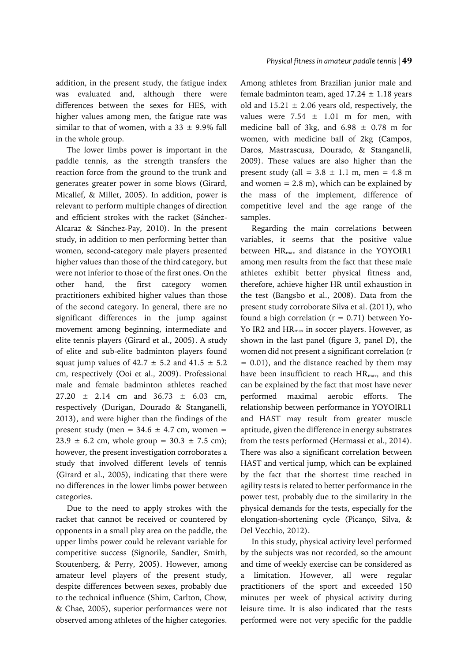addition, in the present study, the fatigue index was evaluated and, although there were differences between the sexes for HES, with higher values among men, the fatigue rate was similar to that of women, with a 33  $\pm$  9.9% fall in the whole group.

The lower limbs power is important in the paddle tennis, as the strength transfers the reaction force from the ground to the trunk and generates greater power in some blows (Girard, Micallef, & Millet, 2005). In addition, power is relevant to perform multiple changes of direction and efficient strokes with the racket (Sánchez-Alcaraz & Sánchez-Pay, 2010). In the present study, in addition to men performing better than women, second-category male players presented higher values than those of the third category, but were not inferior to those of the first ones. On the other hand, the first category women practitioners exhibited higher values than those of the second category. In general, there are no significant differences in the jump against movement among beginning, intermediate and elite tennis players (Girard et al., 2005). A study of elite and sub-elite badminton players found squat jump values of  $42.7 \pm 5.2$  and  $41.5 \pm 5.2$ cm, respectively (Ooi et al., 2009). Professional male and female badminton athletes reached 27.20 ± 2.14 cm and 36.73 ± 6.03 cm, respectively (Durigan, Dourado & Stanganelli, 2013), and were higher than the findings of the present study (men =  $34.6 \pm 4.7$  cm, women =  $23.9 \pm 6.2$  cm, whole group =  $30.3 \pm 7.5$  cm); however, the present investigation corroborates a study that involved different levels of tennis (Girard et al., 2005), indicating that there were no differences in the lower limbs power between categories.

Due to the need to apply strokes with the racket that cannot be received or countered by opponents in a small play area on the paddle, the upper limbs power could be relevant variable for competitive success (Signorile, Sandler, Smith, Stoutenberg, & Perry, 2005). However, among amateur level players of the present study, despite differences between sexes, probably due to the technical influence (Shim, Carlton, Chow, & Chae, 2005), superior performances were not observed among athletes of the higher categories.

Among athletes from Brazilian junior male and female badminton team, aged  $17.24 \pm 1.18$  years old and  $15.21 \pm 2.06$  years old, respectively, the values were  $7.54 \pm 1.01$  m for men, with medicine ball of 3kg, and  $6.98 \pm 0.78$  m for women, with medicine ball of 2kg (Campos, Daros, Mastrascusa, Dourado, & Stanganelli, 2009). These values are also higher than the present study (all =  $3.8 \pm 1.1$  m, men =  $4.8$  m and women  $= 2.8$  m), which can be explained by the mass of the implement, difference of competitive level and the age range of the samples.

Regarding the main correlations between variables, it seems that the positive value between HRmax and distance in the YOYOIR1 among men results from the fact that these male athletes exhibit better physical fitness and, therefore, achieve higher HR until exhaustion in the test (Bangsbo et al., 2008). Data from the present study corroborate Silva et al. (2011), who found a high correlation  $(r = 0.71)$  between Yo-Yo IR2 and HR<sub>max</sub> in soccer players. However, as shown in the last panel (figure 3, panel D), the women did not present a significant correlation (r = 0.01), and the distance reached by them may have been insufficient to reach HR<sub>max</sub>, and this can be explained by the fact that most have never performed maximal aerobic efforts. The relationship between performance in YOYOIRL1 and HAST may result from greater muscle aptitude, given the difference in energy substrates from the tests performed (Hermassi et al., 2014). There was also a significant correlation between HAST and vertical jump, which can be explained by the fact that the shortest time reached in agility tests is related to better performance in the power test, probably due to the similarity in the physical demands for the tests, especially for the elongation-shortening cycle (Picanço, Silva, & Del Vecchio, 2012).

In this study, physical activity level performed by the subjects was not recorded, so the amount and time of weekly exercise can be considered as a limitation. However, all were regular practitioners of the sport and exceeded 150 minutes per week of physical activity during leisure time. It is also indicated that the tests performed were not very specific for the paddle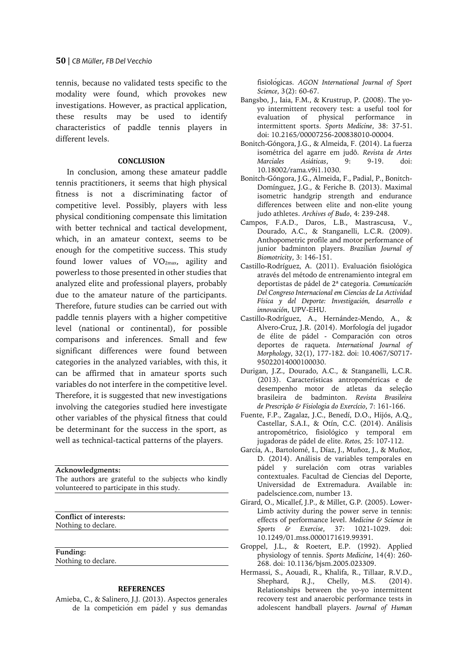tennis, because no validated tests specific to the modality were found, which provokes new investigations. However, as practical application, these results may be used to identify characteristics of paddle tennis players in different levels.

# **CONCLUSION**

In conclusion, among these amateur paddle tennis practitioners, it seems that high physical fitness is not a discriminating factor of competitive level. Possibly, players with less physical conditioning compensate this limitation with better technical and tactical development, which, in an amateur context, seems to be enough for the competitive success. This study found lower values of  $VO<sub>2max</sub>$ , agility and powerless to those presented in other studies that analyzed elite and professional players, probably due to the amateur nature of the participants. Therefore, future studies can be carried out with paddle tennis players with a higher competitive level (national or continental), for possible comparisons and inferences. Small and few significant differences were found between categories in the analyzed variables, with this, it can be affirmed that in amateur sports such variables do not interfere in the competitive level. Therefore, it is suggested that new investigations involving the categories studied here investigate other variables of the physical fitness that could be determinant for the success in the sport, as well as technical-tactical patterns of the players.

**Acknowledgments:**

The authors are grateful to the subjects who kindly volunteered to participate in this study.

**Conflict of interests:**

Nothing to declare.

**Funding:** Nothing to declare.

## **REFERENCES**

Amieba, C., & Salinero, J.J. (2013). Aspectos generales de la competición em pádel y sus demandas fisiológicas. *AGON International Journal of Sport Science*, 3(2): 60-67.

- Bangsbo, J., Iaia, F.M., & Krustrup, P. (2008). The yoyo intermittent recovery test: a useful tool for evaluation of physical performance in intermittent sports. *Sports Medicine*, 38: 37-51. doi: 10.2165/00007256-200838010-00004.
- Bonitch‐Góngora, J.G., & Almeida, F. (2014). La fuerza isométrica del agarre em judô. *Revista de Artes Marciales Asiáticas*, 9: 9-19. doi: 10.18002/rama.v9i1.1030.
- Bonitch-Góngora, J.G., Almeida, F., Padial, P., Bonitch-Domínguez, J.G., & Feriche B. (2013). Maximal isometric handgrip strength and endurance differences between elite and non-elite young judo athletes. *Archives of Budo*, 4: 239-248.
- Campos, F.A.D., Daros, L.B., Mastrascusa, V., Dourado, A.C., & Stanganelli, L.C.R. (2009). Anthopometric profile and motor performance of junior badminton players. *Brazilian Journal of Biomotricity*, 3: 146-151.
- Castillo-Rodríguez, A. (2011). Evaluación fisiológica através del método de entrenamiento integral em deportistas de pádel de 2ª categoria. *Comunicación Del Congreso Internacional em Ciencias de La Actividad Física y del Deporte: Investigación, desarrollo e innovación*, UPV-EHU.
- Castillo-Rodríguez, A., Hernández-Mendo, A., & Alvero-Cruz, J.R. (2014). Morfología del jugador de élite de pádel - Comparación con otros deportes de raqueta. *International Journal of Morphology*, 32(1), 177-182. doi: 10.4067/S0717- 95022014000100030.
- Durigan, J.Z., Dourado, A.C., & Stanganelli, L.C.R. (2013). Características antropométricas e de desempenho motor de atletas da seleção brasileira de badminton. *Revista Brasileira de Prescrição & Fisiologia do Exercício*, 7: 161-166.
- Fuente, F.P., Zagalaz, J.C., Benedí, D.O., Hijós, A.Q., Castellar, S.A.I., & Otín, C.C. (2014). Análisis antropométrico, fisiológico y temporal em jugadoras de pádel de elite. *Retos,* 25: 107-112.
- García, A., Bartolomé, I., Díaz, J., Muñoz, J., & Muñoz, D. (2014). Análisis de variables temporales en pádel y surelación com otras variables contextuales. Facultad de Ciencias del Deporte, Universidad de Extremadura. Available in: padelscience.com, number 13.
- Girard, O., Micallef, J.P., & Millet, G.P. (2005). Lower-Limb activity during the power serve in tennis: effects of performance level. *Medicine & Science in Sports & Exercise*, 37: 1021-1029. doi: 10.1249/01.mss.0000171619.99391.
- Groppel, J.L., & Roetert, E.P. (1992). Applied physiology of tennis. *Sports Medicine*, 14(4): 260- 268. doi: 10.1136/bjsm.2005.023309.
- Hermassi, S., Aouadi, R., Khalifa, R., Tillaar, R.V.D., Shephard, R.J., Chelly, M.S. (2014). Relationships between the yo-yo intermittent recovery test and anaerobic performance tests in adolescent handball players. *Journal of Human*